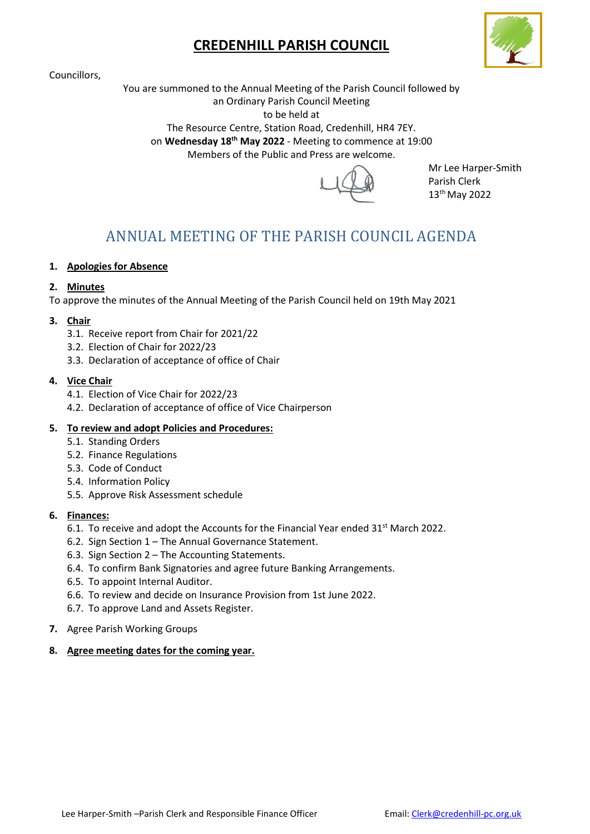# CREDENHILL PARISH COUNCIL

Councillors,



You are summoned to the Annual Meeting of the Parish Council followed by an Ordinary Parish Council Meeting

to be held at

The Resource Centre, Station Road, Credenhill, HR4 7EY.

on Wednesday 18<sup>th</sup> May 2022 - Meeting to commence at 19:00

Members of the Public and Press are welcome.



Mr Lee Harper-Smith Parish Clerk 13th May 2022

# ANNUAL MEETING OF THE PARISH COUNCIL AGENDA

# 1. Apologies for Absence

# 2. Minutes

To approve the minutes of the Annual Meeting of the Parish Council held on 19th May 2021

# 3. Chair

- 3.1. Receive report from Chair for 2021/22
- 3.2. Election of Chair for 2022/23
- 3.3. Declaration of acceptance of office of Chair

# 4. Vice Chair

- 4.1. Election of Vice Chair for 2022/23
- 4.2. Declaration of acceptance of office of Vice Chairperson

# 5. To review and adopt Policies and Procedures:

- 5.1. Standing Orders
- 5.2. Finance Regulations
- 5.3. Code of Conduct
- 5.4. Information Policy
- 5.5. Approve Risk Assessment schedule

# 6. Finances:

- 6.1. To receive and adopt the Accounts for the Financial Year ended  $31<sup>st</sup>$  March 2022.
- 6.2. Sign Section 1 The Annual Governance Statement.
- 6.3. Sign Section 2 The Accounting Statements.
- 6.4. To confirm Bank Signatories and agree future Banking Arrangements.
- 6.5. To appoint Internal Auditor.
- 6.6. To review and decide on Insurance Provision from 1st June 2022.
- 6.7. To approve Land and Assets Register.
- 7. Agree Parish Working Groups

# 8. Agree meeting dates for the coming year.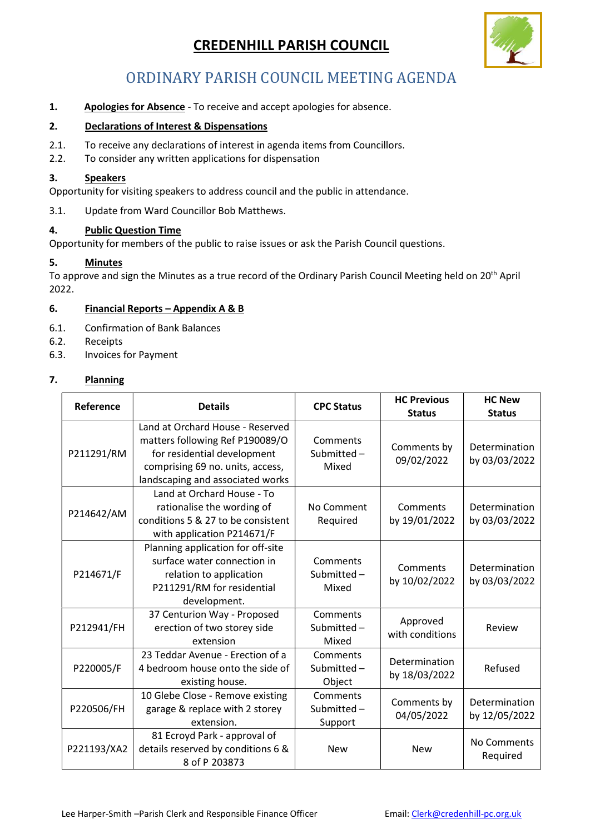# CREDENHILL PARISH COUNCIL



# ORDINARY PARISH COUNCIL MEETING AGENDA

1. Apologies for Absence - To receive and accept apologies for absence.

# 2. Declarations of Interest & Dispensations

- 2.1. To receive any declarations of interest in agenda items from Councillors.
- 2.2. To consider any written applications for dispensation

#### 3. Speakers

Opportunity for visiting speakers to address council and the public in attendance.

3.1. Update from Ward Councillor Bob Matthews.

#### 4. Public Question Time

Opportunity for members of the public to raise issues or ask the Parish Council questions.

#### 5. Minutes

To approve and sign the Minutes as a true record of the Ordinary Parish Council Meeting held on 20<sup>th</sup> April 2022.

#### 6. Financial Reports – Appendix A & B

- 6.1. Confirmation of Bank Balances
- 6.2. Receipts
- 6.3. Invoices for Payment

# 7. Planning

| Reference   | <b>Details</b>                                                                                                                                                             | <b>CPC Status</b>                 | <b>HC Previous</b><br><b>Status</b> | <b>HC New</b><br><b>Status</b> |
|-------------|----------------------------------------------------------------------------------------------------------------------------------------------------------------------------|-----------------------------------|-------------------------------------|--------------------------------|
| P211291/RM  | Land at Orchard House - Reserved<br>matters following Ref P190089/O<br>for residential development<br>comprising 69 no. units, access,<br>landscaping and associated works | Comments<br>Submitted-<br>Mixed   | Comments by<br>09/02/2022           | Determination<br>by 03/03/2022 |
| P214642/AM  | Land at Orchard House - To<br>rationalise the wording of<br>conditions 5 & 27 to be consistent<br>with application P214671/F                                               | No Comment<br>Required            | Comments<br>by 19/01/2022           | Determination<br>by 03/03/2022 |
| P214671/F   | Planning application for off-site<br>surface water connection in<br>relation to application<br>P211291/RM for residential<br>development.                                  | Comments<br>Submitted-<br>Mixed   | Comments<br>by 10/02/2022           | Determination<br>by 03/03/2022 |
| P212941/FH  | 37 Centurion Way - Proposed<br>erection of two storey side<br>extension                                                                                                    | Comments<br>Submitted-<br>Mixed   | Approved<br>with conditions         | Review                         |
| P220005/F   | 23 Teddar Avenue - Erection of a<br>4 bedroom house onto the side of<br>existing house.                                                                                    | Comments<br>Submitted-<br>Object  | Determination<br>by 18/03/2022      | Refused                        |
| P220506/FH  | 10 Glebe Close - Remove existing<br>garage & replace with 2 storey<br>extension.                                                                                           | Comments<br>Submitted-<br>Support | Comments by<br>04/05/2022           | Determination<br>by 12/05/2022 |
| P221193/XA2 | 81 Ecroyd Park - approval of<br>details reserved by conditions 6 &<br>8 of P 203873                                                                                        | <b>New</b>                        | <b>New</b>                          | No Comments<br>Required        |